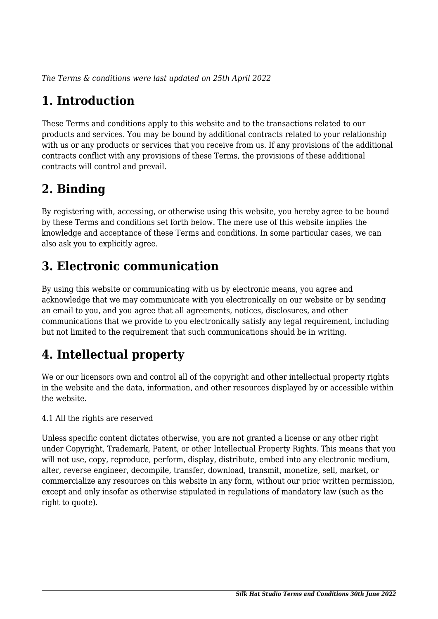*The Terms & conditions were last updated on 25th April 2022*

# **1. Introduction**

These Terms and conditions apply to this website and to the transactions related to our products and services. You may be bound by additional contracts related to your relationship with us or any products or services that you receive from us. If any provisions of the additional contracts conflict with any provisions of these Terms, the provisions of these additional contracts will control and prevail.

## **2. Binding**

By registering with, accessing, or otherwise using this website, you hereby agree to be bound by these Terms and conditions set forth below. The mere use of this website implies the knowledge and acceptance of these Terms and conditions. In some particular cases, we can also ask you to explicitly agree.

## **3. Electronic communication**

By using this website or communicating with us by electronic means, you agree and acknowledge that we may communicate with you electronically on our website or by sending an email to you, and you agree that all agreements, notices, disclosures, and other communications that we provide to you electronically satisfy any legal requirement, including but not limited to the requirement that such communications should be in writing.

# **4. Intellectual property**

We or our licensors own and control all of the copyright and other intellectual property rights in the website and the data, information, and other resources displayed by or accessible within the website.

4.1 All the rights are reserved

Unless specific content dictates otherwise, you are not granted a license or any other right under Copyright, Trademark, Patent, or other Intellectual Property Rights. This means that you will not use, copy, reproduce, perform, display, distribute, embed into any electronic medium, alter, reverse engineer, decompile, transfer, download, transmit, monetize, sell, market, or commercialize any resources on this website in any form, without our prior written permission, except and only insofar as otherwise stipulated in regulations of mandatory law (such as the right to quote).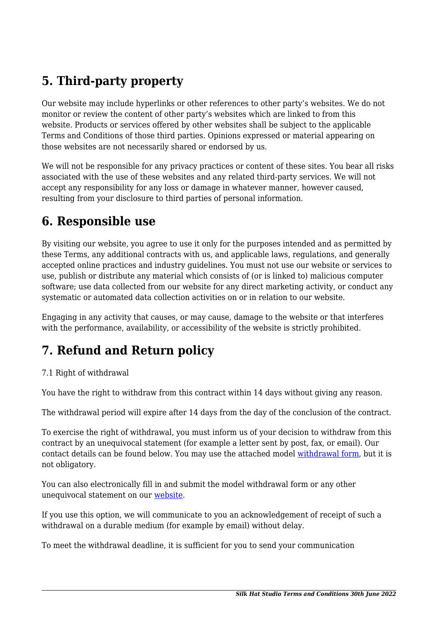# **5. Third-party property**

Our website may include hyperlinks or other references to other party's websites. We do not monitor or review the content of other party's websites which are linked to from this website. Products or services offered by other websites shall be subject to the applicable Terms and Conditions of those third parties. Opinions expressed or material appearing on those websites are not necessarily shared or endorsed by us.

We will not be responsible for any privacy practices or content of these sites. You bear all risks associated with the use of these websites and any related third-party services. We will not accept any responsibility for any loss or damage in whatever manner, however caused, resulting from your disclosure to third parties of personal information.

#### **6. Responsible use**

By visiting our website, you agree to use it only for the purposes intended and as permitted by these Terms, any additional contracts with us, and applicable laws, regulations, and generally accepted online practices and industry guidelines. You must not use our website or services to use, publish or distribute any material which consists of (or is linked to) malicious computer software; use data collected from our website for any direct marketing activity, or conduct any systematic or automated data collection activities on or in relation to our website.

Engaging in any activity that causes, or may cause, damage to the website or that interferes with the performance, availability, or accessibility of the website is strictly prohibited.

## **7. Refund and Return policy**

#### 7.1 Right of withdrawal

You have the right to withdraw from this contract within 14 days without giving any reason.

The withdrawal period will expire after 14 days from the day of the conclusion of the contract.

To exercise the right of withdrawal, you must inform us of your decision to withdraw from this contract by an unequivocal statement (for example a letter sent by post, fax, or email). Our contact details can be found below. You may use the attached model [withdrawal form](https://silkhatstudio.com/wp-content/uploads/complianz/withdrawal-forms/withdrawal-form-en.pdf), but it is not obligatory.

You can also electronically fill in and submit the model withdrawal form or any other unequivocal statement on our [website](https://silkhatstudio.com/contact/).

If you use this option, we will communicate to you an acknowledgement of receipt of such a withdrawal on a durable medium (for example by email) without delay.

To meet the withdrawal deadline, it is sufficient for you to send your communication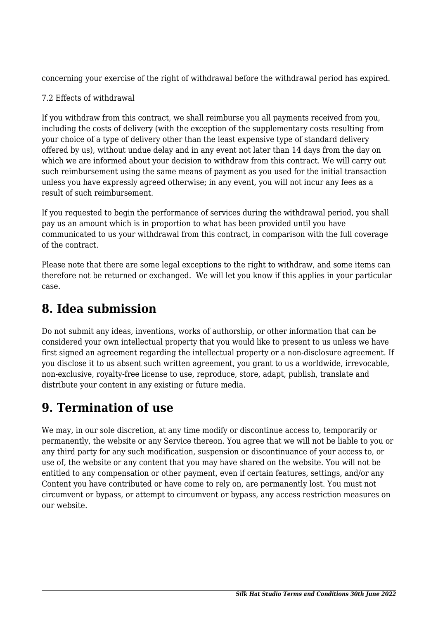concerning your exercise of the right of withdrawal before the withdrawal period has expired.

#### 7.2 Effects of withdrawal

If you withdraw from this contract, we shall reimburse you all payments received from you, including the costs of delivery (with the exception of the supplementary costs resulting from your choice of a type of delivery other than the least expensive type of standard delivery offered by us), without undue delay and in any event not later than 14 days from the day on which we are informed about your decision to withdraw from this contract. We will carry out such reimbursement using the same means of payment as you used for the initial transaction unless you have expressly agreed otherwise; in any event, you will not incur any fees as a result of such reimbursement.

If you requested to begin the performance of services during the withdrawal period, you shall pay us an amount which is in proportion to what has been provided until you have communicated to us your withdrawal from this contract, in comparison with the full coverage of the contract.

Please note that there are some legal exceptions to the right to withdraw, and some items can therefore not be returned or exchanged. We will let you know if this applies in your particular case.

## **8. Idea submission**

Do not submit any ideas, inventions, works of authorship, or other information that can be considered your own intellectual property that you would like to present to us unless we have first signed an agreement regarding the intellectual property or a non-disclosure agreement. If you disclose it to us absent such written agreement, you grant to us a worldwide, irrevocable, non-exclusive, royalty-free license to use, reproduce, store, adapt, publish, translate and distribute your content in any existing or future media.

## **9. Termination of use**

We may, in our sole discretion, at any time modify or discontinue access to, temporarily or permanently, the website or any Service thereon. You agree that we will not be liable to you or any third party for any such modification, suspension or discontinuance of your access to, or use of, the website or any content that you may have shared on the website. You will not be entitled to any compensation or other payment, even if certain features, settings, and/or any Content you have contributed or have come to rely on, are permanently lost. You must not circumvent or bypass, or attempt to circumvent or bypass, any access restriction measures on our website.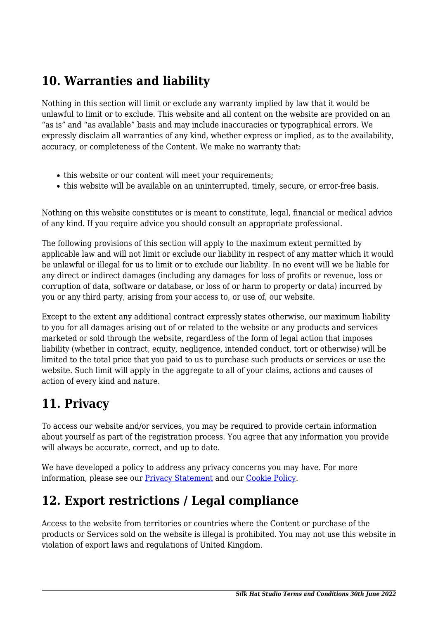## **10. Warranties and liability**

Nothing in this section will limit or exclude any warranty implied by law that it would be unlawful to limit or to exclude. This website and all content on the website are provided on an "as is" and "as available" basis and may include inaccuracies or typographical errors. We expressly disclaim all warranties of any kind, whether express or implied, as to the availability, accuracy, or completeness of the Content. We make no warranty that:

- this website or our content will meet your requirements;
- this website will be available on an uninterrupted, timely, secure, or error-free basis.

Nothing on this website constitutes or is meant to constitute, legal, financial or medical advice of any kind. If you require advice you should consult an appropriate professional.

The following provisions of this section will apply to the maximum extent permitted by applicable law and will not limit or exclude our liability in respect of any matter which it would be unlawful or illegal for us to limit or to exclude our liability. In no event will we be liable for any direct or indirect damages (including any damages for loss of profits or revenue, loss or corruption of data, software or database, or loss of or harm to property or data) incurred by you or any third party, arising from your access to, or use of, our website.

Except to the extent any additional contract expressly states otherwise, our maximum liability to you for all damages arising out of or related to the website or any products and services marketed or sold through the website, regardless of the form of legal action that imposes liability (whether in contract, equity, negligence, intended conduct, tort or otherwise) will be limited to the total price that you paid to us to purchase such products or services or use the website. Such limit will apply in the aggregate to all of your claims, actions and causes of action of every kind and nature.

## **11. Privacy**

To access our website and/or services, you may be required to provide certain information about yourself as part of the registration process. You agree that any information you provide will always be accurate, correct, and up to date.

We have developed a policy to address any privacy concerns you may have. For more information, please see our **Privacy Statement** and our Cookie Policy.

### **12. Export restrictions / Legal compliance**

Access to the website from territories or countries where the Content or purchase of the products or Services sold on the website is illegal is prohibited. You may not use this website in violation of export laws and regulations of United Kingdom.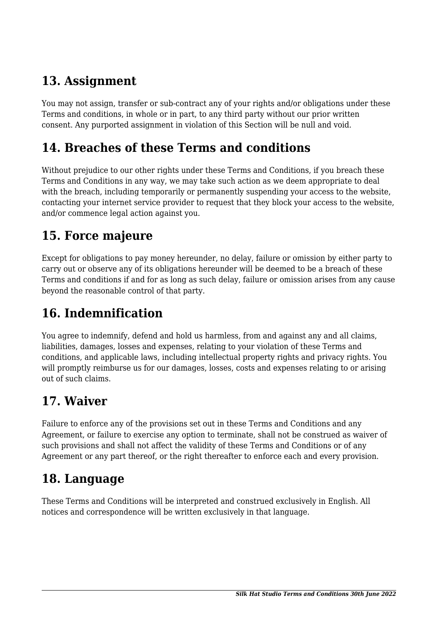## **13. Assignment**

You may not assign, transfer or sub-contract any of your rights and/or obligations under these Terms and conditions, in whole or in part, to any third party without our prior written consent. Any purported assignment in violation of this Section will be null and void.

#### **14. Breaches of these Terms and conditions**

Without prejudice to our other rights under these Terms and Conditions, if you breach these Terms and Conditions in any way, we may take such action as we deem appropriate to deal with the breach, including temporarily or permanently suspending your access to the website, contacting your internet service provider to request that they block your access to the website, and/or commence legal action against you.

## **15. Force majeure**

Except for obligations to pay money hereunder, no delay, failure or omission by either party to carry out or observe any of its obligations hereunder will be deemed to be a breach of these Terms and conditions if and for as long as such delay, failure or omission arises from any cause beyond the reasonable control of that party.

# **16. Indemnification**

You agree to indemnify, defend and hold us harmless, from and against any and all claims, liabilities, damages, losses and expenses, relating to your violation of these Terms and conditions, and applicable laws, including intellectual property rights and privacy rights. You will promptly reimburse us for our damages, losses, costs and expenses relating to or arising out of such claims.

### **17. Waiver**

Failure to enforce any of the provisions set out in these Terms and Conditions and any Agreement, or failure to exercise any option to terminate, shall not be construed as waiver of such provisions and shall not affect the validity of these Terms and Conditions or of any Agreement or any part thereof, or the right thereafter to enforce each and every provision.

### **18. Language**

These Terms and Conditions will be interpreted and construed exclusively in English. All notices and correspondence will be written exclusively in that language.